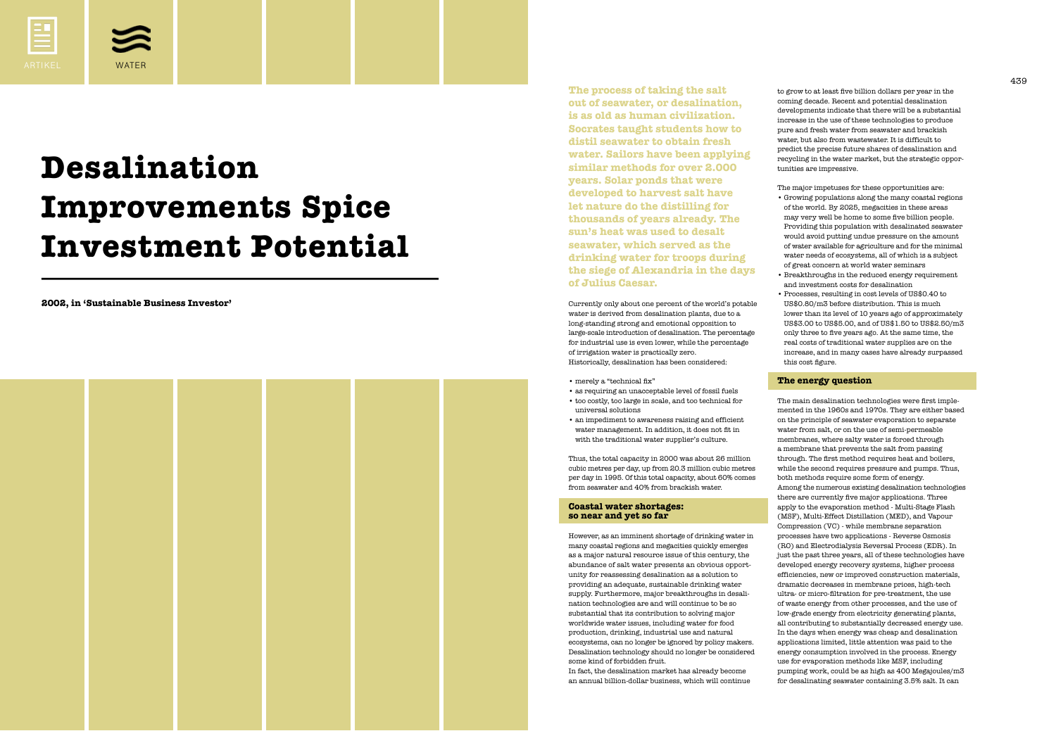**2002, in 'Sustainable Business Investor'**



# **Desalination Improvements Spice Investment Potential**



to grow to at least five billion dollars per year in the coming decade. Recent and potential desalination developments indicate that there will be a substantial increase in the use of these technologies to produce pure and fresh water from seawater and brackish water, but also from wastewater. It is difficult to predict the precise future shares of desalination and recycling in the water market, but the strategic opportunities are impressive.

The major impetuses for these opportunities are:

- Growing populations along the many coastal regions of the world. By 2025, megacities in these areas may very well be home to some five billion people. Providing this population with desalinated seawater would avoid putting undue pressure on the amount of water available for agriculture and for the minimal water needs of ecosystems, all of which is a subject of great concern at world water seminars
- Breakthroughs in the reduced energy requirement and investment costs for desalination
- Processes, resulting in cost levels of US\$0.40 to US\$0.80/m3 before distribution. This is much lower than its level of 10 years ago of approximately US\$3.00 to US\$5.00, and of US\$1.50 to US\$2.50/m3 only three to five years ago. At the same time, the real costs of traditional water supplies are on the increase, and in many cases have already surpassed this cost figure.

## **The energy question**

438 439 **The process of taking the salt out of seawater, or desalination, is as old as human civilization. Socrates taught students how to distil seawater to obtain fresh water. Sailors have been applying similar methods for over 2.000 years. Solar ponds that were developed to harvest salt have let nature do the distilling for thousands of years already. The sun's heat was used to desalt seawater, which served as the drinking water for troops during the siege of Alexandria in the days of Julius Caesar.**

> The main desalination technologies were first implemented in the 1960s and 1970s. They are either based on the principle of seawater evaporation to separate water from salt, or on the use of semi-permeable membranes, where salty water is forced through a membrane that prevents the salt from passing through. The first method requires heat and boilers, while the second requires pressure and pumps. Thus, both methods require some form of energy. Among the numerous existing desalination technologies there are currently five major applications. Three apply to the evaporation method - Multi-Stage Flash (MSF), Multi-Effect Distillation (MED), and Vapour Compression (VC) - while membrane separation processes have two applications - Reverse Osmosis (RO) and Electrodialysis Reversal Process (EDR). In just the past three years, all of these technologies have developed energy recovery systems, higher process efficiencies, new or improved construction materials, dramatic decreases in membrane prices, high-tech ultra- or micro-filtration for pre-treatment, the use of waste energy from other processes, and the use of low-grade energy from electricity generating plants, all contributing to substantially decreased energy use. In the days when energy was cheap and desalination applications limited, little attention was paid to the energy consumption involved in the process. Energy use for evaporation methods like MSF, including pumping work, could be as high as 400 Megajoules/m3 for desalinating seawater containing 3.5% salt. It can

Currently only about one percent of the world's potable water is derived from desalination plants, due to a long-standing strong and emotional opposition to large-scale introduction of desalination. The percentage for industrial use is even lower, while the percentage of irrigation water is practically zero. Historically, desalination has been considered:

• merely a "technical fix"

• as requiring an unacceptable level of fossil fuels • too costly, too large in scale, and too technical for

- universal solutions
- 

• an impediment to awareness raising and efficient water management. In addition, it does not fit in with the traditional water supplier's culture.

Thus, the total capacity in 2000 was about 26 million cubic metres per day, up from 20.3 million cubic metres per day in 1995. Of this total capacity, about 60% comes from seawater and 40% from brackish water.

## **Coastal water shortages: so near and yet so far**

However, as an imminent shortage of drinking water in many coastal regions and megacities quickly emerges as a major natural resource issue of this century, the abundance of salt water presents an obvious opportunity for reassessing desalination as a solution to providing an adequate, sustainable drinking water supply. Furthermore, major breakthroughs in desalination technologies are and will continue to be so substantial that its contribution to solving major worldwide water issues, including water for food production, drinking, industrial use and natural ecosystems, can no longer be ignored by policy makers. Desalination technology should no longer be considered some kind of forbidden fruit. In fact, the desalination market has already become an annual billion-dollar business, which will continue